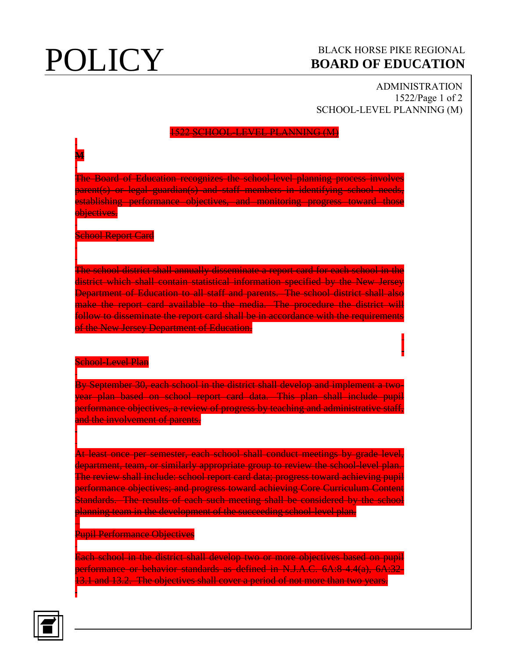**M**

# **POLICY** BLACK HORSE PIKE REGIONAL **BOARD OF EDUCATION BOARD OF EDUCATION**

ADMINISTRATION 1522/Page 1 of 2 SCHOOL-LEVEL PLANNING (M)

### **SCHOOL-LEVEL PLANNING (M)**

The Board of Education recognizes the school-level planning process involves parent(s) or legal guardian(s) and staff members in identifying school needs, establishing performance objectives, and monitoring progress toward those **bjectives.** 

School Report Card

The school district shall annually disseminate a report card for each school in the district which shall contain statistical information specified by the New Jersey Department of Education to all staff and parents. The school district shall also make the report card available to the media. The procedure the district will follow to disseminate the report card shall be in accordance with the requirements of the New Jersey Department of Education.

### School-Level Plan

By September 30, each school in the district shall develop and implement a twoyear plan based on school report card data. This plan shall include pupil performance objectives, a review of progress by teaching and administrative staff, and the involvement of parents.

At least once per semester, each school shall conduct meetings by grade level, department, team, or similarly appropriate group to review the school-level plan. The review shall include: school report card data; progress toward achieving pupil performance objectives; and progress toward achieving Core Curriculum Content Standards. The results of each such meeting shall be considered by the school planning team in the development of the succeeding school-level plan.

### Pupil Performance Objectives

Each school in the district shall develop two or more objectives based on pupil performance or behavior standards as defined in N.J.A.C. 6A:8-4.4(a), 6A:32- 13.1 and 13.2. The objectives shall cover a period of not more than two years.



l